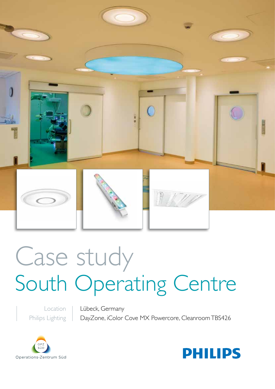

# Case study South Operating Centre

Location Philips Lighting Lübeck, Germany DayZone, iColor Cove MX Powercore, Cleanroom TBS426



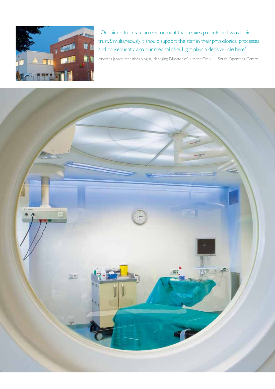

"Our aim is to create an environment that relaxes patients and wins their trust. Simultaneously, it should support the staff in their physiological processes and consequently also our medical care. Light plays a decisive role here."

Andreas Janzen, Anesthesiologist, Managing Director of Lumaris GmbH – South Operating Centre

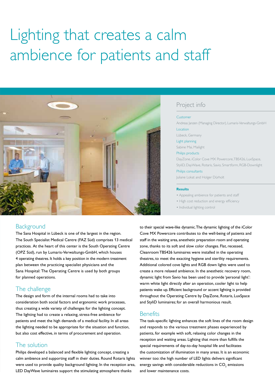# Lighting that creates a calm ambience for patients and staff



# Project info

#### Customer

Andreas Janzen (Managing Director), Lumaris-Verwaltungs-GmbH Location Lübeck, Germany Light planning

Sabine Mai, Mailight

#### Philips products

DayZone, iColor Cove MX Powercore, TBS426, LuxSpace, StyliD, DayWave, Rotaris, Savio, Smartform, RGB-Downlight Philips consultants Juliane Lokat and Holger Dürholt

#### **Results**

• Appealing ambience for patients and staff

- High cost reduction and energy efficiency
- Individual lighting control

# **Background**

The Sana Hospital in Lübeck is one of the largest in the region. The South Specialist Medical Centre (FAZ Süd) comprises 13 medical practices. At the heart of this center is the South Operating Centre (OPZ Süd), run by Lumaris-Verwaltungs-GmbH, which houses 4 operating theatres. It holds a key position in the modern treatment plan between the practicing specialist physicians and the Sana Hospital: The Operating Centre is used by both groups for planned operations.

# The challenge

The design and form of the internal rooms had to take into consideration both social factors and ergonomic work processes, thus creating a wide variety of challenges for the lighting concept. The lighting had to create a relaxing, stress-free ambience for patients and meet the high demands of a medical facility. In all areas the lighting needed to be appropriate for the situation and function, but also cost effective, in terms of procurement and operation.

# The solution

Philips developed a balanced and flexible lighting concept, creating a calm ambience and supporting staff in their duties. Round Rotaris lights were used to provide quality background lighting. In the reception area, LED DayWave luminaires support the stimulating atmosphere thanks

to their special wave-like dynamic. The dynamic lighting of the iColor Cove MX Powercore contributes to the well-being of patients and staff in the waiting area, anesthetic preparation room and operating zone, thanks to its soft and slow color changes. Flat, recessed, Cleanroom TBS426 luminaires were installed in the operating theatres, to meet the exacting hygiene and sterility requirements. Additional colored cove lights and RGB down lights were used to create a more relaxed ambience. In the anesthetic recovery room, dynamic light from Savio has been used to provide 'personal light': warm white light directly after an operation, cooler light to help patients wake up. Efficient background or accent lighting is provided throughout the Operating Centre by DayZone, Rotaris, LuxSpace and StyliD luminaires; for an overall harmonious result.

### **Benefits**

The task-specific lighting enhances the soft lines of the room design and responds to the various treatment phases experienced by patients, for example with soft, relaxing color changes in the reception and waiting areas. Lighting that more than fulfills the special requirements of day-to-day hospital life and facilitates the customization of illumination in many areas. It is an economic winner too: the high number of LED lights delivers significant energy savings with considerable reductions in  $\mathsf{CO}_2$  emissions and lower maintenance costs.